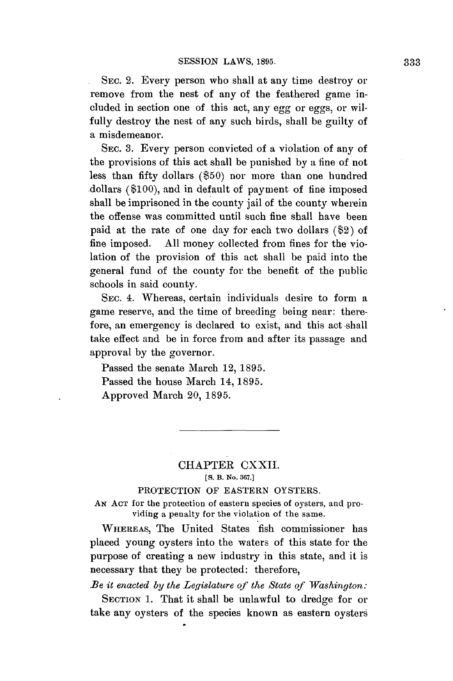SEC. 2. Every person who shall at any time destroy or remove from the nest of any of the feathered game included in section one of this act, any egg or eggs, or wilfully destroy the nest of any such birds, shall be guilty of a misdemeanor.

SEC. **3.** Every person convicted of a violation of any of the provisions of this act shall be punished **by** a fine of not less than fifty dollars **(\$50)** nor more than one hundred dollars **(\$100),** and in default of payment of fine imposed shall be imprisoned in the county jail of the county wherein the offense was committed until such fine shall have been paid at the rate of one day for each two dollars (\$2) of fine imposed. **All** money collected from fines for the violation of the provision of this act shall be paid into the general fund of the county for the benefit of the public schools in said county.

SEC. 4. Whereas, certain individuals desire to form a game reserve, and the time of breeding being near: therefore, an emergency is declared to exist, and this act shall take effect and be in force from and after its passage and approval **by** the governor.

Passed the senate March 12, **1895.** Passed the house March **14, 1895.** Approved March **20, 1895.**

## CHAPTER CXXII. **[S. B. No. 367.]**

## PROTECTION OF **EASTERN** OYSTERS.

**AN ACT** for the protection of eastern species of oysters, and providing a penalty for the violation of the same.

WHEREAS, The United States fish commissioner has placed young oysters into the waters of this state for the purpose of creating a new industry in this state, and it is necessary that they be protected: therefore,

*Be it enacted by the Legislature qf the State of Washington:*

SECTION 1. That it shall be unlawful to dredge for or take any oysters of the species known as eastern oysters